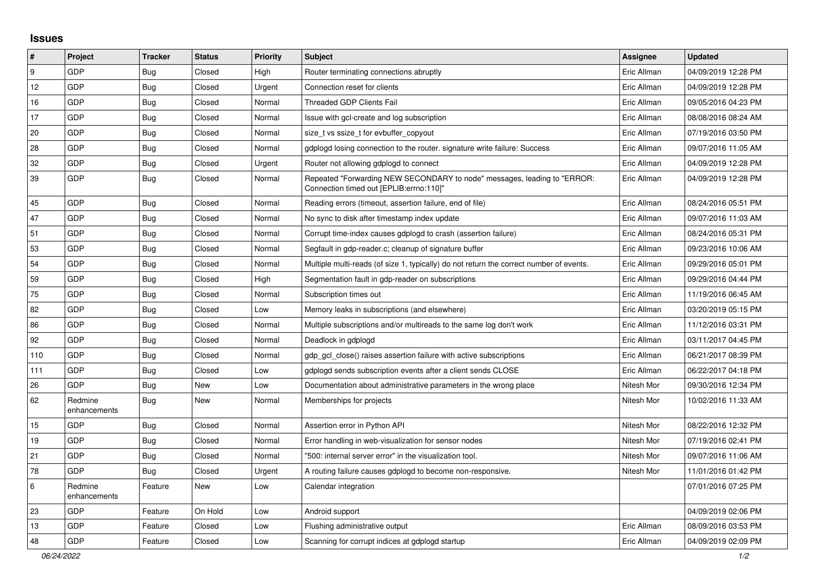## **Issues**

| $\vert$ # | Project                 | <b>Tracker</b> | <b>Status</b> | Priority | <b>Subject</b>                                                                                                      | Assignee    | <b>Updated</b>      |
|-----------|-------------------------|----------------|---------------|----------|---------------------------------------------------------------------------------------------------------------------|-------------|---------------------|
| 9         | GDP                     | Bug            | Closed        | High     | Router terminating connections abruptly                                                                             | Eric Allman | 04/09/2019 12:28 PM |
| 12        | GDP                     | Bug            | Closed        | Urgent   | Connection reset for clients                                                                                        | Eric Allman | 04/09/2019 12:28 PM |
| 16        | GDP                     | <b>Bug</b>     | Closed        | Normal   | <b>Threaded GDP Clients Fail</b>                                                                                    | Eric Allman | 09/05/2016 04:23 PM |
| 17        | <b>GDP</b>              | Bug            | Closed        | Normal   | Issue with gcl-create and log subscription                                                                          | Eric Allman | 08/08/2016 08:24 AM |
| 20        | GDP                     | <b>Bug</b>     | Closed        | Normal   | size_t vs ssize_t for evbuffer_copyout                                                                              | Eric Allman | 07/19/2016 03:50 PM |
| 28        | GDP                     | Bug            | Closed        | Normal   | gdplogd losing connection to the router, signature write failure: Success                                           | Eric Allman | 09/07/2016 11:05 AM |
| 32        | GDP                     | Bug            | Closed        | Urgent   | Router not allowing gdplogd to connect                                                                              | Eric Allman | 04/09/2019 12:28 PM |
| 39        | GDP                     | Bug            | Closed        | Normal   | Repeated "Forwarding NEW SECONDARY to node" messages, leading to "ERROR:<br>Connection timed out [EPLIB:errno:110]" | Eric Allman | 04/09/2019 12:28 PM |
| 45        | GDP                     | Bug            | Closed        | Normal   | Reading errors (timeout, assertion failure, end of file)                                                            | Eric Allman | 08/24/2016 05:51 PM |
| 47        | GDP                     | <b>Bug</b>     | Closed        | Normal   | No sync to disk after timestamp index update                                                                        | Eric Allman | 09/07/2016 11:03 AM |
| 51        | GDP                     | Bug            | Closed        | Normal   | Corrupt time-index causes gdplogd to crash (assertion failure)                                                      | Eric Allman | 08/24/2016 05:31 PM |
| 53        | GDP                     | <b>Bug</b>     | Closed        | Normal   | Segfault in gdp-reader.c; cleanup of signature buffer                                                               | Eric Allman | 09/23/2016 10:06 AM |
| 54        | GDP                     | Bug            | Closed        | Normal   | Multiple multi-reads (of size 1, typically) do not return the correct number of events.                             | Eric Allman | 09/29/2016 05:01 PM |
| 59        | GDP                     | Bug            | Closed        | High     | Segmentation fault in gdp-reader on subscriptions                                                                   | Eric Allman | 09/29/2016 04:44 PM |
| 75        | GDP                     | <b>Bug</b>     | Closed        | Normal   | Subscription times out                                                                                              | Eric Allman | 11/19/2016 06:45 AM |
| 82        | GDP                     | Bug            | Closed        | Low      | Memory leaks in subscriptions (and elsewhere)                                                                       | Eric Allman | 03/20/2019 05:15 PM |
| 86        | GDP                     | Bug            | Closed        | Normal   | Multiple subscriptions and/or multireads to the same log don't work                                                 | Eric Allman | 11/12/2016 03:31 PM |
| 92        | GDP                     | <b>Bug</b>     | Closed        | Normal   | Deadlock in gdplogd                                                                                                 | Eric Allman | 03/11/2017 04:45 PM |
| 110       | GDP                     | <b>Bug</b>     | Closed        | Normal   | gdp gcl close() raises assertion failure with active subscriptions                                                  | Eric Allman | 06/21/2017 08:39 PM |
| 111       | GDP                     | Bug            | Closed        | Low      | gdplogd sends subscription events after a client sends CLOSE                                                        | Eric Allman | 06/22/2017 04:18 PM |
| 26        | GDP                     | <b>Bug</b>     | New           | Low      | Documentation about administrative parameters in the wrong place                                                    | Nitesh Mor  | 09/30/2016 12:34 PM |
| 62        | Redmine<br>enhancements | Bug            | New           | Normal   | Memberships for projects                                                                                            | Nitesh Mor  | 10/02/2016 11:33 AM |
| 15        | GDP                     | Bug            | Closed        | Normal   | Assertion error in Python API                                                                                       | Nitesh Mor  | 08/22/2016 12:32 PM |
| 19        | GDP                     | <b>Bug</b>     | Closed        | Normal   | Error handling in web-visualization for sensor nodes                                                                | Nitesh Mor  | 07/19/2016 02:41 PM |
| 21        | GDP                     | Bug            | Closed        | Normal   | '500: internal server error" in the visualization tool.                                                             | Nitesh Mor  | 09/07/2016 11:06 AM |
| 78        | GDP                     | Bug            | Closed        | Urgent   | A routing failure causes gdplogd to become non-responsive.                                                          | Nitesh Mor  | 11/01/2016 01:42 PM |
| $\,6\,$   | Redmine<br>enhancements | Feature        | New           | Low      | Calendar integration                                                                                                |             | 07/01/2016 07:25 PM |
| 23        | <b>GDP</b>              | Feature        | On Hold       | Low      | Android support                                                                                                     |             | 04/09/2019 02:06 PM |
| 13        | GDP                     | Feature        | Closed        | Low      | Flushing administrative output                                                                                      | Eric Allman | 08/09/2016 03:53 PM |
| 48        | GDP                     | Feature        | Closed        | Low      | Scanning for corrupt indices at gdplogd startup                                                                     | Eric Allman | 04/09/2019 02:09 PM |